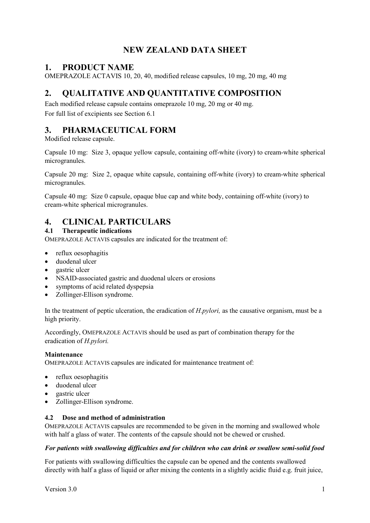# **NEW ZEALAND DATA SHEET**

# **1. PRODUCT NAME**

OMEPRAZOLE ACTAVIS 10, 20, 40, modified release capsules, 10 mg, 20 mg, 40 mg

# **2. QUALITATIVE AND QUANTITATIVE COMPOSITION**

Each modified release capsule contains omeprazole 10 mg, 20 mg or 40 mg. For full list of excipients see Section 6.1

# **3. PHARMACEUTICAL FORM**

Modified release capsule.

Capsule 10 mg: Size 3, opaque yellow capsule, containing off-white (ivory) to cream-white spherical microgranules.

Capsule 20 mg: Size 2, opaque white capsule, containing off-white (ivory) to cream-white spherical microgranules.

Capsule 40 mg: Size 0 capsule, opaque blue cap and white body, containing off-white (ivory) to cream-white spherical microgranules.

# **4. CLINICAL PARTICULARS**

# **4.1 Therapeutic indications**

OMEPRAZOLE ACTAVIS capsules are indicated for the treatment of:

- reflux oesophagitis
- duodenal ulcer
- gastric ulcer
- NSAID-associated gastric and duodenal ulcers or erosions
- symptoms of acid related dyspepsia
- Zollinger-Ellison syndrome.

In the treatment of peptic ulceration, the eradication of *H.pylori,* as the causative organism, must be a high priority.

Accordingly, OMEPRAZOLE ACTAVIS should be used as part of combination therapy for the eradication of *H.pylori.*

## **Maintenance**

OMEPRAZOLE ACTAVIS capsules are indicated for maintenance treatment of:

- reflux oesophagitis
- duodenal ulcer
- gastric ulcer
- Zollinger-Ellison syndrome.

## **4.2 Dose and method of administration**

OMEPRAZOLE ACTAVIS capsules are recommended to be given in the morning and swallowed whole with half a glass of water. The contents of the capsule should not be chewed or crushed.

## *For patients with swallowing difficulties and for children who can drink or swallow semi-solid food*

For patients with swallowing difficulties the capsule can be opened and the contents swallowed directly with half a glass of liquid or after mixing the contents in a slightly acidic fluid e.g. fruit juice,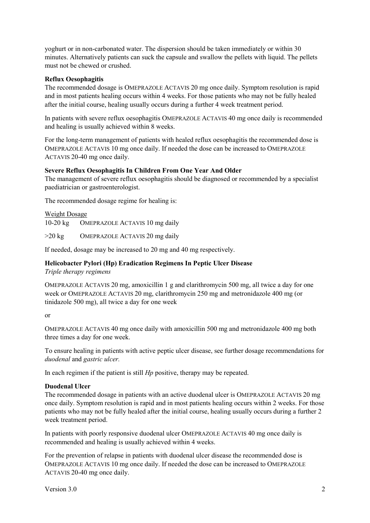yoghurt or in non-carbonated water. The dispersion should be taken immediately or within 30 minutes. Alternatively patients can suck the capsule and swallow the pellets with liquid. The pellets must not be chewed or crushed.

## **Reflux Oesophagitis**

The recommended dosage is OMEPRAZOLE ACTAVIS 20 mg once daily. Symptom resolution is rapid and in most patients healing occurs within 4 weeks. For those patients who may not be fully healed after the initial course, healing usually occurs during a further 4 week treatment period.

In patients with severe reflux oesophagitis OMEPRAZOLE ACTAVIS 40 mg once daily is recommended and healing is usually achieved within 8 weeks.

For the long-term management of patients with healed reflux oesophagitis the recommended dose is OMEPRAZOLE ACTAVIS 10 mg once daily. If needed the dose can be increased to OMEPRAZOLE ACTAVIS 20-40 mg once daily.

### **Severe Reflux Oesophagitis In Children From One Year And Older**

The management of severe reflux oesophagitis should be diagnosed or recommended by a specialist paediatrician or gastroenterologist.

The recommended dosage regime for healing is:

Weight Dosage 10-20 kg OMEPRAZOLE ACTAVIS 10 mg daily

>20 kg OMEPRAZOLE ACTAVIS 20 mg daily

If needed, dosage may be increased to 20 mg and 40 mg respectively.

## **Helicobacter Pylori (Hp) Eradication Regimens In Peptic Ulcer Disease**

*Triple therapy regimens*

OMEPRAZOLE ACTAVIS 20 mg, amoxicillin 1 g and clarithromycin 500 mg, all twice a day for one week or OMEPRAZOLE ACTAVIS 20 mg, clarithromycin 250 mg and metronidazole 400 mg (or tinidazole 500 mg), all twice a day for one week

or

OMEPRAZOLE ACTAVIS 40 mg once daily with amoxicillin 500 mg and metronidazole 400 mg both three times a day for one week.

To ensure healing in patients with active peptic ulcer disease, see further dosage recommendations for *duodenal* and *gastric ulcer.*

In each regimen if the patient is still *Hp* positive, therapy may be repeated.

#### **Duodenal Ulcer**

The recommended dosage in patients with an active duodenal ulcer is OMEPRAZOLE ACTAVIS 20 mg once daily. Symptom resolution is rapid and in most patients healing occurs within 2 weeks. For those patients who may not be fully healed after the initial course, healing usually occurs during a further 2 week treatment period.

In patients with poorly responsive duodenal ulcer OMEPRAZOLE ACTAVIS 40 mg once daily is recommended and healing is usually achieved within 4 weeks.

For the prevention of relapse in patients with duodenal ulcer disease the recommended dose is OMEPRAZOLE ACTAVIS 10 mg once daily. If needed the dose can be increased to OMEPRAZOLE ACTAVIS 20-40 mg once daily.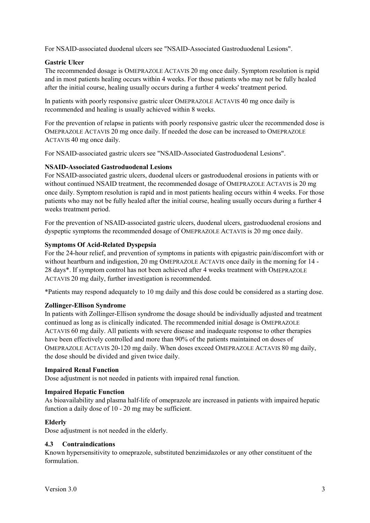For NSAID-associated duodenal ulcers see "NSAID-Associated Gastroduodenal Lesions".

### **Gastric Ulcer**

The recommended dosage is OMEPRAZOLE ACTAVIS 20 mg once daily. Symptom resolution is rapid and in most patients healing occurs within 4 weeks. For those patients who may not be fully healed after the initial course, healing usually occurs during a further 4 weeks' treatment period.

In patients with poorly responsive gastric ulcer OMEPRAZOLE ACTAVIS 40 mg once daily is recommended and healing is usually achieved within 8 weeks.

For the prevention of relapse in patients with poorly responsive gastric ulcer the recommended dose is OMEPRAZOLE ACTAVIS 20 mg once daily. If needed the dose can be increased to OMEPRAZOLE ACTAVIS 40 mg once daily.

For NSAID-associated gastric ulcers see "NSAID-Associated Gastroduodenal Lesions".

### **NSAID-Associated Gastroduodenal Lesions**

For NSAID-associated gastric ulcers, duodenal ulcers or gastroduodenal erosions in patients with or without continued NSAID treatment, the recommended dosage of OMEPRAZOLE ACTAVIS is 20 mg once daily. Symptom resolution is rapid and in most patients healing occurs within 4 weeks. For those patients who may not be fully healed after the initial course, healing usually occurs during a further 4 weeks treatment period.

For the prevention of NSAID-associated gastric ulcers, duodenal ulcers, gastroduodenal erosions and dyspeptic symptoms the recommended dosage of OMEPRAZOLE ACTAVIS is 20 mg once daily.

### **Symptoms Of Acid-Related Dyspepsia**

For the 24-hour relief, and prevention of symptoms in patients with epigastric pain/discomfort with or without heartburn and indigestion, 20 mg OMEPRAZOLE ACTAVIS once daily in the morning for 14 - 28 days\*. If symptom control has not been achieved after 4 weeks treatment with OMEPRAZOLE ACTAVIS 20 mg daily, further investigation is recommended.

\*Patients may respond adequately to 10 mg daily and this dose could be considered as a starting dose.

#### **Zollinger-Ellison Syndrome**

In patients with Zollinger-Ellison syndrome the dosage should be individually adjusted and treatment continued as long as is clinically indicated. The recommended initial dosage is OMEPRAZOLE ACTAVIS 60 mg daily. All patients with severe disease and inadequate response to other therapies have been effectively controlled and more than 90% of the patients maintained on doses of OMEPRAZOLE ACTAVIS 20-120 mg daily. When doses exceed OMEPRAZOLE ACTAVIS 80 mg daily, the dose should be divided and given twice daily.

#### **Impaired Renal Function**

Dose adjustment is not needed in patients with impaired renal function.

#### **Impaired Hepatic Function**

As bioavailability and plasma half-life of omeprazole are increased in patients with impaired hepatic function a daily dose of 10 - 20 mg may be sufficient.

## **Elderly**

Dose adjustment is not needed in the elderly.

#### **4.3 Contraindications**

Known hypersensitivity to omeprazole, substituted benzimidazoles or any other constituent of the formulation.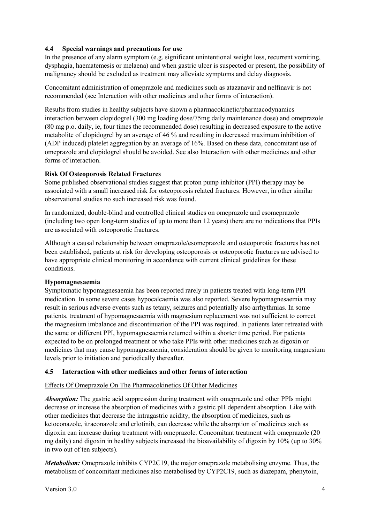# **4.4 Special warnings and precautions for use**

In the presence of any alarm symptom (e.g. significant unintentional weight loss, recurrent vomiting, dysphagia, haematemesis or melaena) and when gastric ulcer is suspected or present, the possibility of malignancy should be excluded as treatment may alleviate symptoms and delay diagnosis.

Concomitant administration of omeprazole and medicines such as atazanavir and nelfinavir is not recommended (see Interaction with other medicines and other forms of interaction).

Results from studies in healthy subjects have shown a pharmacokinetic/pharmacodynamics interaction between clopidogrel (300 mg loading dose/75mg daily maintenance dose) and omeprazole (80 mg p.o. daily, ie, four times the recommended dose) resulting in decreased exposure to the active metabolite of clopidogrel by an average of 46 % and resulting in decreased maximum inhibition of (ADP induced) platelet aggregation by an average of 16%. Based on these data, concomitant use of omeprazole and clopidogrel should be avoided. See also Interaction with other medicines and other forms of interaction.

## **Risk Of Osteoporosis Related Fractures**

Some published observational studies suggest that proton pump inhibitor (PPI) therapy may be associated with a small increased risk for osteoporosis related fractures. However, in other similar observational studies no such increased risk was found.

In randomized, double-blind and controlled clinical studies on omeprazole and esomeprazole (including two open long-term studies of up to more than 12 years) there are no indications that PPIs are associated with osteoporotic fractures.

Although a causal relationship between omeprazole/esomeprazole and osteoporotic fractures has not been established, patients at risk for developing osteoporosis or osteoporotic fractures are advised to have appropriate clinical monitoring in accordance with current clinical guidelines for these conditions.

## **Hypomagnesaemia**

Symptomatic hypomagnesaemia has been reported rarely in patients treated with long-term PPI medication. In some severe cases hypocalcaemia was also reported. Severe hypomagnesaemia may result in serious adverse events such as tetany, seizures and potentially also arrhythmias. In some patients, treatment of hypomagnesaemia with magnesium replacement was not sufficient to correct the magnesium imbalance and discontinuation of the PPI was required. In patients later retreated with the same or different PPI, hypomagnesaemia returned within a shorter time period. For patients expected to be on prolonged treatment or who take PPIs with other medicines such as digoxin or medicines that may cause hypomagnesaemia, consideration should be given to monitoring magnesium levels prior to initiation and periodically thereafter.

## **4.5 Interaction with other medicines and other forms of interaction**

# Effects Of Omeprazole On The Pharmacokinetics Of Other Medicines

*Absorption:* The gastric acid suppression during treatment with omeprazole and other PPIs might decrease or increase the absorption of medicines with a gastric pH dependent absorption. Like with other medicines that decrease the intragastric acidity, the absorption of medicines, such as ketoconazole, itraconazole and erlotinib, can decrease while the absorption of medicines such as digoxin can increase during treatment with omeprazole. Concomitant treatment with omeprazole (20 mg daily) and digoxin in healthy subjects increased the bioavailability of digoxin by 10% (up to 30% in two out of ten subjects).

*Metabolism:* Omeprazole inhibits CYP2C19, the major omeprazole metabolising enzyme. Thus, the metabolism of concomitant medicines also metabolised by CYP2C19, such as diazepam, phenytoin,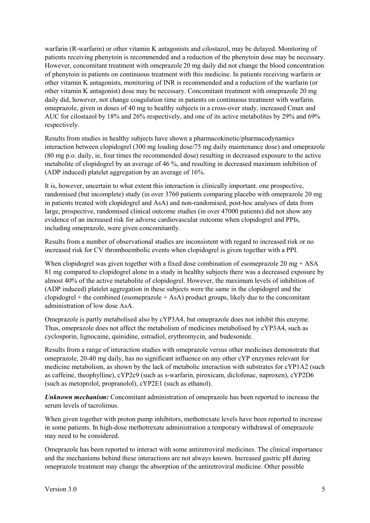warfarin (R-warfarin) or other vitamin K antagonists and cilostazol, may be delayed. Monitoring of patients receiving phenytoin is recommended and a reduction of the phenytoin dose may be necessary. However, concomitant treatment with omeprazole 20 mg daily did not change the blood concentration of phenytoin in patients on continuous treatment with this medicine. In patients receiving warfarin or other vitamin K antagonists, monitoring of INR is recommended and a reduction of the warfarin (or other vitamin K antagonist) dose may be necessary. Concomitant treatment with omeprazole 20 mg daily did, however, not change coagulation time in patients on continuous treatment with warfarin. omeprazole, given in doses of 40 mg to healthy subjects in a cross-over study, increased Cmax and AUC for cilostazol by 18% and 26% respectively, and one of its active metabolites by 29% and 69% respectively.

Results from studies in healthy subjects have shown a pharmacokinetic/pharmacodynamics interaction between clopidogrel (300 mg loading dose/75 mg daily maintenance dose) and omeprazole (80 mg p.o. daily, ie, four times the recommended dose) resulting in decreased exposure to the active metabolite of clopidogrel by an average of 46 %, and resulting in decreased maximum inhibition of (ADP induced) platelet aggregation by an average of 16%.

It is, however, uncertain to what extent this interaction is clinically important. one prospective, randomised (but incomplete) study (in over 3760 patients comparing placebo with omeprazole 20 mg in patients treated with clopidogrel and AsA) and non-randomised, post-hoc analyses of data from large, prospective, randomised clinical outcome studies (in over 47000 patients) did not show any evidence of an increased risk for adverse cardiovascular outcome when clopidogrel and PPIs, including omeprazole, were given concomitantly.

Results from a number of observational studies are inconsistent with regard to increased risk or no increased risk for CV thromboembolic events when clopidogrel is given together with a PPI.

When clopidogrel was given together with a fixed dose combination of esomeprazole 20 mg  $+$  ASA 81 mg compared to clopidogrel alone in a study in healthy subjects there was a decreased exposure by almost 40% of the active metabolite of clopidogrel. However, the maximum levels of inhibition of (ADP induced) platelet aggregation in these subjects were the same in the clopidogrel and the clopidogrel + the combined (esomeprazole + AsA) product groups, likely due to the concomitant administration of low dose AsA.

Omeprazole is partly metabolised also by cYP3A4, but omeprazole does not inhibit this enzyme. Thus, omeprazole does not affect the metabolism of medicines metabolised by cYP3A4, such as cyclosporin, lignocaine, quinidine, estradiol, erythromycin, and budesonide.

Results from a range of interaction studies with omeprazole versus other medicines demonstrate that omeprazole, 20-40 mg daily, has no significant influence on any other cYP enzymes relevant for medicine metabolism, as shown by the lack of metabolic interaction with substrates for cYP1A2 (such as caffeine, theophylline), cYP2c9 (such as s-warfarin, piroxicam, diclofenac, naproxen), cYP2D6 (such as metoprolol, propranolol), cYP2E1 (such as ethanol).

*Unknown mechanism:* Concomitant administration of omeprazole has been reported to increase the serum levels of tacrolimus.

When given together with proton pump inhibitors, methotrexate levels have been reported to increase in some patients. In high-dose methotrexate administration a temporary withdrawal of omeprazole may need to be considered.

Omeprazole has been reported to interact with some antiretroviral medicines. The clinical importance and the mechanisms behind these interactions are not always known. Increased gastric pH during omeprazole treatment may change the absorption of the antiretroviral medicine. Other possible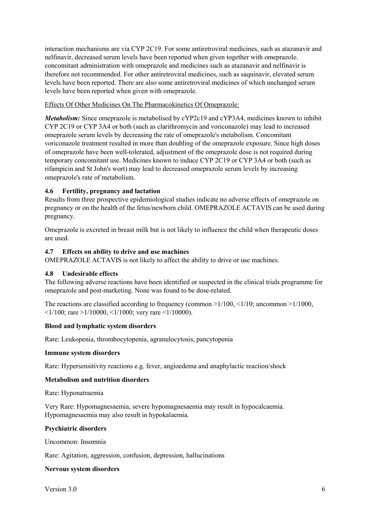interaction mechanisms are via CYP 2C19. For some antiretroviral medicines, such as atazanavir and nelfinavir, decreased serum levels have been reported when given together with omeprazole. concomitant administration with omeprazole and medicines such as atazanavir and nelfinavir is therefore not recommended. For other antiretroviral medicines, such as saquinavir, elevated serum levels have been reported. There are also some antiretroviral medicines of which unchanged serum levels have been reported when given with omeprazole.

# Effects Of Other Medicines On The Pharmacokinetics Of Omeprazole:

*Metabolism:* Since omeprazole is metabolised by cYP2c19 and cYP3A4, medicines known to inhibit CYP 2C19 or CYP 3A4 or both (such as clarithromycin and voriconazole) may lead to increased omeprazole serum levels by decreasing the rate of omeprazole's metabolism. Concomitant voriconazole treatment resulted in more than doubling of the omeprazole exposure. Since high doses of omeprazole have been well-tolerated, adjustment of the omeprazole dose is not required during temporary concomitant use. Medicines known to induce CYP 2C19 or CYP 3A4 or both (such as rifampicin and St John's wort) may lead to decreased omeprazole serum levels by increasing omeprazole's rate of metabolism.

# **4.6 Fertility, pregnancy and lactation**

Results from three prospective epidemiological studies indicate no adverse effects of omeprazole on pregnancy or on the health of the fetus/newborn child. OMEPRAZOLE ACTAVIS can be used during pregnancy.

Omeprazole is excreted in breast milk but is not likely to influence the child when therapeutic doses are used.

## **4.7 Effects on ability to drive and use machines**

OMEPRAZOLE ACTAVIS is not likely to affect the ability to drive or use machines.

## **4.8 Undesirable effects**

The following adverse reactions have been identified or suspected in the clinical trials programme for omeprazole and post-marketing. None was found to be dose-related.

The reactions are classified according to frequency (common  $>1/100$ ,  $<1/10$ ; uncommon  $>1/1000$ ,  $\langle 1/100$ ; rare  $>1/10000$ ,  $\langle 1/1000$ ; very rare  $\langle 1/10000 \rangle$ .

## **Blood and lymphatic system disorders**

Rare: Leukopenia, thrombocytopenia, agranulocytosis, pancytopenia

#### **Immune system disorders**

Rare: Hypersensitivity reactions e.g. fever, angioedema and anaphylactic reaction/shock

## **Metabolism and nutrition disorders**

Rare: Hyponatraemia

Very Rare: Hypomagnesaemia, severe hypomagnesaemia may result in hypocalcaemia. Hypomagnesaemia may also result in hypokalaemia.

#### **Psychiatric disorders**

Uncommon: Insomnia

Rare: Agitation, aggression, confusion, depression, hallucinations

## **Nervous system disorders**

Version 3.0 6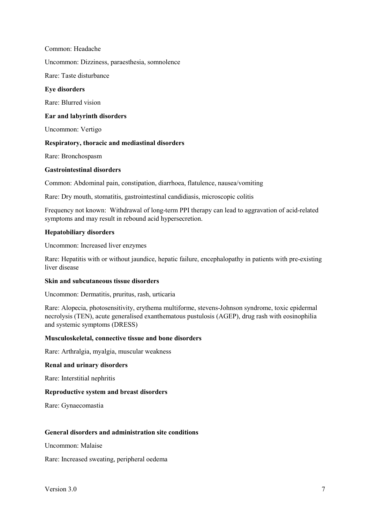Common: Headache

Uncommon: Dizziness, paraesthesia, somnolence

Rare: Taste disturbance

#### **Eye disorders**

Rare: Blurred vision

#### **Ear and labyrinth disorders**

Uncommon: Vertigo

#### **Respiratory, thoracic and mediastinal disorders**

Rare: Bronchospasm

#### **Gastrointestinal disorders**

Common: Abdominal pain, constipation, diarrhoea, flatulence, nausea/vomiting

Rare: Dry mouth, stomatitis, gastrointestinal candidiasis, microscopic colitis

Frequency not known: Withdrawal of long-term PPI therapy can lead to aggravation of acid-related symptoms and may result in rebound acid hypersecretion.

#### **Hepatobiliary disorders**

Uncommon: Increased liver enzymes

Rare: Hepatitis with or without jaundice, hepatic failure, encephalopathy in patients with pre-existing liver disease

#### **Skin and subcutaneous tissue disorders**

Uncommon: Dermatitis, pruritus, rash, urticaria

Rare: Alopecia, photosensitivity, erythema multiforme, stevens-Johnson syndrome, toxic epidermal necrolysis (TEN), acute generalised exanthematous pustulosis (AGEP), drug rash with eosinophilia and systemic symptoms (DRESS)

#### **Musculoskeletal, connective tissue and bone disorders**

Rare: Arthralgia, myalgia, muscular weakness

#### **Renal and urinary disorders**

Rare: Interstitial nephritis

#### **Reproductive system and breast disorders**

Rare: Gynaecomastia

#### **General disorders and administration site conditions**

Uncommon: Malaise

Rare: Increased sweating, peripheral oedema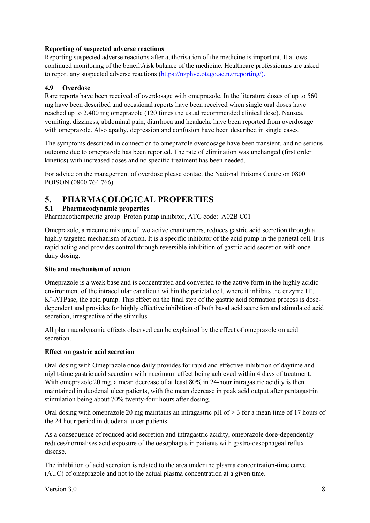## **Reporting of suspected adverse reactions**

Reporting suspected adverse reactions after authorisation of the medicine is important. It allows continued monitoring of the benefit/risk balance of the medicine. Healthcare professionals are asked to report any suspected adverse reactions (https://nzphvc.otago.ac.nz/reporting/).

# **4.9 Overdose**

Rare reports have been received of overdosage with omeprazole. In the literature doses of up to 560 mg have been described and occasional reports have been received when single oral doses have reached up to 2,400 mg omeprazole (120 times the usual recommended clinical dose). Nausea, vomiting, dizziness, abdominal pain, diarrhoea and headache have been reported from overdosage with omeprazole. Also apathy, depression and confusion have been described in single cases.

The symptoms described in connection to omeprazole overdosage have been transient, and no serious outcome due to omeprazole has been reported. The rate of elimination was unchanged (first order kinetics) with increased doses and no specific treatment has been needed.

For advice on the management of overdose please contact the National Poisons Centre on 0800 POISON (0800 764 766).

# **5. PHARMACOLOGICAL PROPERTIES**

# **5.1 Pharmacodynamic properties**

Pharmacotherapeutic group: Proton pump inhibitor, ATC code: A02B C01

Omeprazole, a racemic mixture of two active enantiomers, reduces gastric acid secretion through a highly targeted mechanism of action. It is a specific inhibitor of the acid pump in the parietal cell. It is rapid acting and provides control through reversible inhibition of gastric acid secretion with once daily dosing.

## **Site and mechanism of action**

Omeprazole is a weak base and is concentrated and converted to the active form in the highly acidic environment of the intracellular canaliculi within the parietal cell, where it inhibits the enzyme H<sup>+</sup>,  $K^+$ -ATPase, the acid pump. This effect on the final step of the gastric acid formation process is dosedependent and provides for highly effective inhibition of both basal acid secretion and stimulated acid secretion, irrespective of the stimulus.

All pharmacodynamic effects observed can be explained by the effect of omeprazole on acid secretion.

# **Effect on gastric acid secretion**

Oral dosing with Omeprazole once daily provides for rapid and effective inhibition of daytime and night-time gastric acid secretion with maximum effect being achieved within 4 days of treatment. With omeprazole 20 mg, a mean decrease of at least 80% in 24-hour intragastric acidity is then maintained in duodenal ulcer patients, with the mean decrease in peak acid output after pentagastrin stimulation being about 70% twenty-four hours after dosing.

Oral dosing with omeprazole 20 mg maintains an intragastric  $pH$  of  $> 3$  for a mean time of 17 hours of the 24 hour period in duodenal ulcer patients.

As a consequence of reduced acid secretion and intragastric acidity, omeprazole dose-dependently reduces/normalises acid exposure of the oesophagus in patients with gastro-oesophageal reflux disease.

The inhibition of acid secretion is related to the area under the plasma concentration-time curve (AUC) of omeprazole and not to the actual plasma concentration at a given time.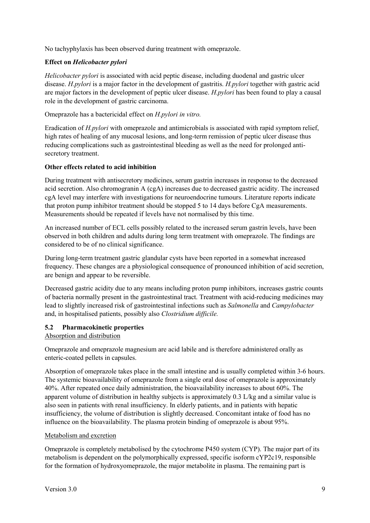No tachyphylaxis has been observed during treatment with omeprazole.

## **Effect on** *Helicobacter pylori*

*Helicobacter pylori* is associated with acid peptic disease, including duodenal and gastric ulcer disease. *H.pylori* is a major factor in the development of gastritis. *H.pylori* together with gastric acid are major factors in the development of peptic ulcer disease. *H.pylori* has been found to play a causal role in the development of gastric carcinoma.

Omeprazole has a bactericidal effect on *H.pylori in vitro.*

Eradication of *H.pylori* with omeprazole and antimicrobials is associated with rapid symptom relief, high rates of healing of any mucosal lesions, and long-term remission of peptic ulcer disease thus reducing complications such as gastrointestinal bleeding as well as the need for prolonged antisecretory treatment.

### **Other effects related to acid inhibition**

During treatment with antisecretory medicines, serum gastrin increases in response to the decreased acid secretion. Also chromogranin A (cgA) increases due to decreased gastric acidity. The increased cgA level may interfere with investigations for neuroendocrine tumours. Literature reports indicate that proton pump inhibitor treatment should be stopped 5 to 14 days before CgA measurements. Measurements should be repeated if levels have not normalised by this time.

An increased number of ECL cells possibly related to the increased serum gastrin levels, have been observed in both children and adults during long term treatment with omeprazole. The findings are considered to be of no clinical significance.

During long-term treatment gastric glandular cysts have been reported in a somewhat increased frequency. These changes are a physiological consequence of pronounced inhibition of acid secretion, are benign and appear to be reversible.

Decreased gastric acidity due to any means including proton pump inhibitors, increases gastric counts of bacteria normally present in the gastrointestinal tract. Treatment with acid-reducing medicines may lead to slightly increased risk of gastrointestinal infections such as *Salmonella* and *Campylobacter*  and, in hospitalised patients, possibly also *Clostridium difficile.*

#### **5.2 Pharmacokinetic properties**

#### Absorption and distribution

Omeprazole and omeprazole magnesium are acid labile and is therefore administered orally as enteric-coated pellets in capsules.

Absorption of omeprazole takes place in the small intestine and is usually completed within 3-6 hours. The systemic bioavailability of omeprazole from a single oral dose of omeprazole is approximately 40%. After repeated once daily administration, the bioavailability increases to about 60%. The apparent volume of distribution in healthy subjects is approximately 0.3 L/kg and a similar value is also seen in patients with renal insufficiency. In elderly patients, and in patients with hepatic insufficiency, the volume of distribution is slightly decreased. Concomitant intake of food has no influence on the bioavailability. The plasma protein binding of omeprazole is about 95%.

#### Metabolism and excretion

Omeprazole is completely metabolised by the cytochrome P450 system (CYP). The major part of its metabolism is dependent on the polymorphically expressed, specific isoform cYP2c19, responsible for the formation of hydroxyomeprazole, the major metabolite in plasma. The remaining part is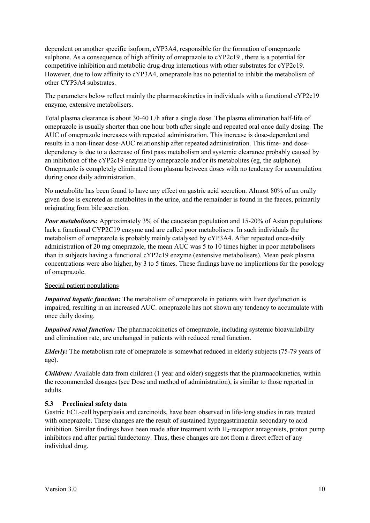dependent on another specific isoform, cYP3A4, responsible for the formation of omeprazole sulphone. As a consequence of high affinity of omeprazole to cYP2c19 , there is a potential for competitive inhibition and metabolic drug-drug interactions with other substrates for cYP2c19. However, due to low affinity to cYP3A4, omeprazole has no potential to inhibit the metabolism of other CYP3A4 substrates.

The parameters below reflect mainly the pharmacokinetics in individuals with a functional cYP2c19 enzyme, extensive metabolisers.

Total plasma clearance is about 30-40 L/h after a single dose. The plasma elimination half-life of omeprazole is usually shorter than one hour both after single and repeated oral once daily dosing. The AUC of omeprazole increases with repeated administration. This increase is dose-dependent and results in a non-linear dose-AUC relationship after repeated administration. This time- and dosedependency is due to a decrease of first pass metabolism and systemic clearance probably caused by an inhibition of the cYP2c19 enzyme by omeprazole and/or its metabolites (eg, the sulphone). Omeprazole is completely eliminated from plasma between doses with no tendency for accumulation during once daily administration.

No metabolite has been found to have any effect on gastric acid secretion. Almost 80% of an orally given dose is excreted as metabolites in the urine, and the remainder is found in the faeces, primarily originating from bile secretion.

*Poor metabolisers:* Approximately 3% of the caucasian population and 15-20% of Asian populations lack a functional CYP2C19 enzyme and are called poor metabolisers. In such individuals the metabolism of omeprazole is probably mainly catalysed by cYP3A4. After repeated once-daily administration of 20 mg omeprazole, the mean AUC was 5 to 10 times higher in poor metabolisers than in subjects having a functional cYP2c19 enzyme (extensive metabolisers). Mean peak plasma concentrations were also higher, by 3 to 5 times. These findings have no implications for the posology of omeprazole.

#### Special patient populations

*Impaired hepatic function:* The metabolism of omeprazole in patients with liver dysfunction is impaired, resulting in an increased AUC. omeprazole has not shown any tendency to accumulate with once daily dosing.

*Impaired renal function:* The pharmacokinetics of omeprazole, including systemic bioavailability and elimination rate, are unchanged in patients with reduced renal function.

*Elderly:* The metabolism rate of omeprazole is somewhat reduced in elderly subjects (75-79 years of age).

*Children:* Available data from children (1 year and older) suggests that the pharmacokinetics, within the recommended dosages (see Dose and method of administration), is similar to those reported in adults.

#### **5.3 Preclinical safety data**

Gastric ECL-cell hyperplasia and carcinoids, have been observed in life-long studies in rats treated with omeprazole. These changes are the result of sustained hypergastrinaemia secondary to acid inhibition. Similar findings have been made after treatment with  $H_2$ -receptor antagonists, proton pump inhibitors and after partial fundectomy. Thus, these changes are not from a direct effect of any individual drug.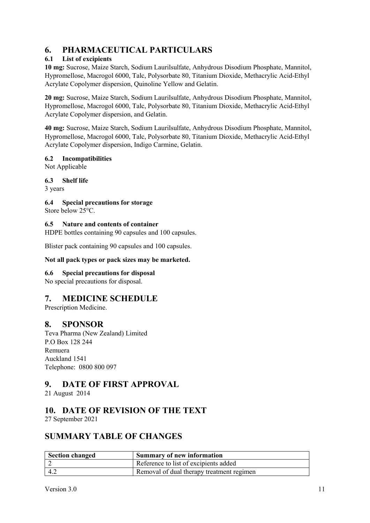# **6. PHARMACEUTICAL PARTICULARS**

# **6.1 List of excipients**

**10 mg:** Sucrose, Maize Starch, Sodium Laurilsulfate, Anhydrous Disodium Phosphate, Mannitol, Hypromellose, Macrogol 6000, Talc, Polysorbate 80, Titanium Dioxide, Methacrylic Acid-Ethyl Acrylate Copolymer dispersion, Quinoline Yellow and Gelatin.

**20 mg:** Sucrose, Maize Starch, Sodium Laurilsulfate, Anhydrous Disodium Phosphate, Mannitol, Hypromellose, Macrogol 6000, Talc, Polysorbate 80, Titanium Dioxide, Methacrylic Acid-Ethyl Acrylate Copolymer dispersion, and Gelatin.

**40 mg:** Sucrose, Maize Starch, Sodium Laurilsulfate, Anhydrous Disodium Phosphate, Mannitol, Hypromellose, Macrogol 6000, Talc, Polysorbate 80, Titanium Dioxide, Methacrylic Acid-Ethyl Acrylate Copolymer dispersion, Indigo Carmine, Gelatin.

# **6.2 Incompatibilities**

Not Applicable

# **6.3 Shelf life**

3 years

# **6.4 Special precautions for storage**

Store below 25°C.

## **6.5 Nature and contents of container**

HDPE bottles containing 90 capsules and 100 capsules.

Blister pack containing 90 capsules and 100 capsules.

# **Not all pack types or pack sizes may be marketed.**

# **6.6 Special precautions for disposal**

No special precautions for disposal.

# **7. MEDICINE SCHEDULE**

Prescription Medicine.

# **8. SPONSOR**

Teva Pharma (New Zealand) Limited P.O Box 128 244 Remuera Auckland 1541 Telephone: 0800 800 097

# **9. DATE OF FIRST APPROVAL**

21 August 2014

# **10. DATE OF REVISION OF THE TEXT**

27 September 2021

# **SUMMARY TABLE OF CHANGES**

| Section changed | Summary of new information                |
|-----------------|-------------------------------------------|
|                 | Reference to list of excipients added     |
| 4.2             | Removal of dual therapy treatment regimen |